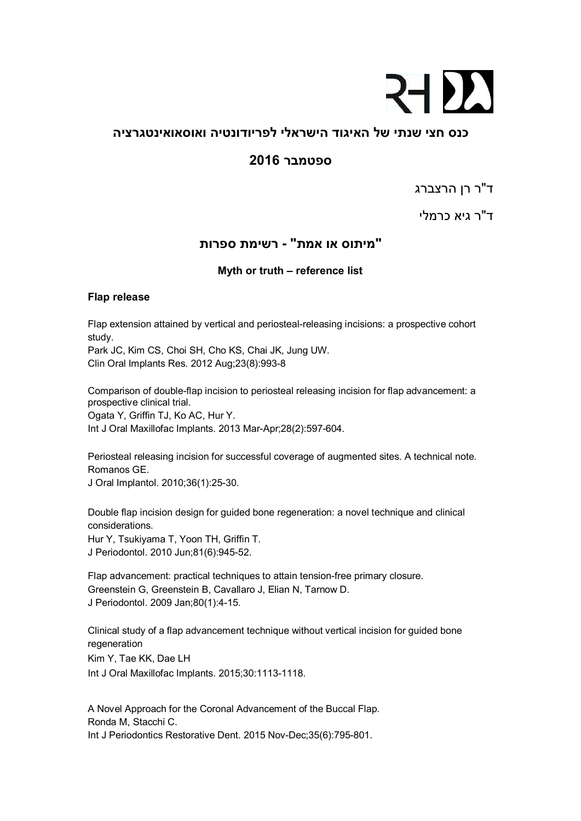## **24 D.**

### **כנס חצי שנתי של האיגוד הישראלי לפריודונטיה ואוסאואינטגרציה**

### **ספטמבר 2016**

ד"ר רן הרצברג

ד"ר גיא כרמלי

### **"מיתוס או אמת" - רשימת ספרות**

#### **Myth or truth – reference list**

#### **Flap release**

Flap extension attained by vertical and periosteal-releasing incisions: a prospective cohort study.

Park JC, Kim CS, Choi SH, Cho KS, Chai JK, Jung UW. Clin Oral Implants Res. 2012 Aug;23(8):993-8

Comparison of double-flap incision to periosteal releasing incision for flap advancement: a prospective clinical trial. Ogata Y, Griffin TJ, Ko AC, Hur Y. Int J Oral Maxillofac Implants. 2013 Mar-Apr;28(2):597-604.

Periosteal releasing incision for successful coverage of augmented sites. A technical note. Romanos GE.

J Oral Implantol. 2010;36(1):25-30.

Double flap incision design for guided bone regeneration: a novel technique and clinical considerations.

Hur Y, Tsukiyama T, Yoon TH, Griffin T. J Periodontol. 2010 Jun;81(6):945-52.

Flap advancement: practical techniques to attain tension-free primary closure. Greenstein G, Greenstein B, Cavallaro J, Elian N, Tarnow D. J Periodontol. 2009 Jan;80(1):4-15.

Clinical study of a flap advancement technique without vertical incision for guided bone regeneration

Kim Y, Tae KK, Dae LH

Int J Oral Maxillofac Implants. 2015;30:1113-1118.

A Novel Approach for the Coronal Advancement of the Buccal Flap. Ronda M, Stacchi C. Int J Periodontics Restorative Dent. 2015 Nov-Dec;35(6):795-801.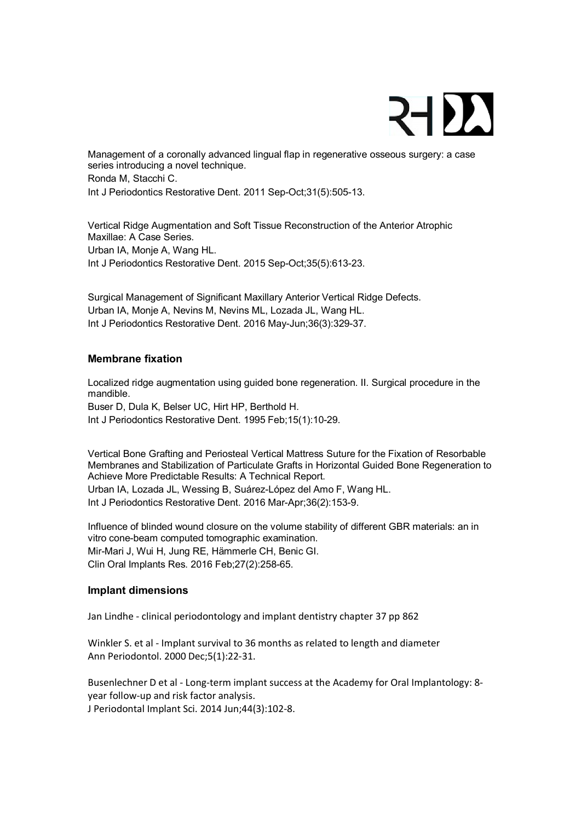## 21)

Management of a coronally advanced lingual flap in regenerative osseous surgery: a case series introducing a novel technique. Ronda M, Stacchi C. Int J Periodontics Restorative Dent. 2011 Sep-Oct;31(5):505-13.

Vertical Ridge Augmentation and Soft Tissue Reconstruction of the Anterior Atrophic Maxillae: A Case Series. Urban IA, Monje A, Wang HL. Int J Periodontics Restorative Dent. 2015 Sep-Oct;35(5):613-23.

Surgical Management of Significant Maxillary Anterior Vertical Ridge Defects. Urban IA, Monje A, Nevins M, Nevins ML, Lozada JL, Wang HL. Int J Periodontics Restorative Dent. 2016 May-Jun;36(3):329-37.

#### **Membrane fixation**

Localized ridge augmentation using guided bone regeneration. II. Surgical procedure in the mandible.

Buser D, Dula K, Belser UC, Hirt HP, Berthold H. Int J Periodontics Restorative Dent. 1995 Feb;15(1):10-29.

Vertical Bone Grafting and Periosteal Vertical Mattress Suture for the Fixation of Resorbable Membranes and Stabilization of Particulate Grafts in Horizontal Guided Bone Regeneration to Achieve More Predictable Results: A Technical Report. Urban IA, Lozada JL, Wessing B, Suárez-López del Amo F, Wang HL. Int J Periodontics Restorative Dent. 2016 Mar-Apr;36(2):153-9.

Influence of blinded wound closure on the volume stability of different GBR materials: an in vitro cone-beam computed tomographic examination. Mir-Mari J, Wui H, Jung RE, Hämmerle CH, Benic GI. Clin Oral Implants Res. 2016 Feb;27(2):258-65.

#### **Implant dimensions**

Jan Lindhe - clinical periodontology and implant dentistry chapter 37 pp 862

Winkler S. et al - Implant survival to 36 months as related to length and diameter Ann Periodontol. 2000 Dec;5(1):22-31.

Busenlechner D et al - Long-term implant success at the Academy for Oral Implantology: 8 year follow-up and risk factor analysis. J Periodontal Implant Sci. 2014 Jun;44(3):102-8.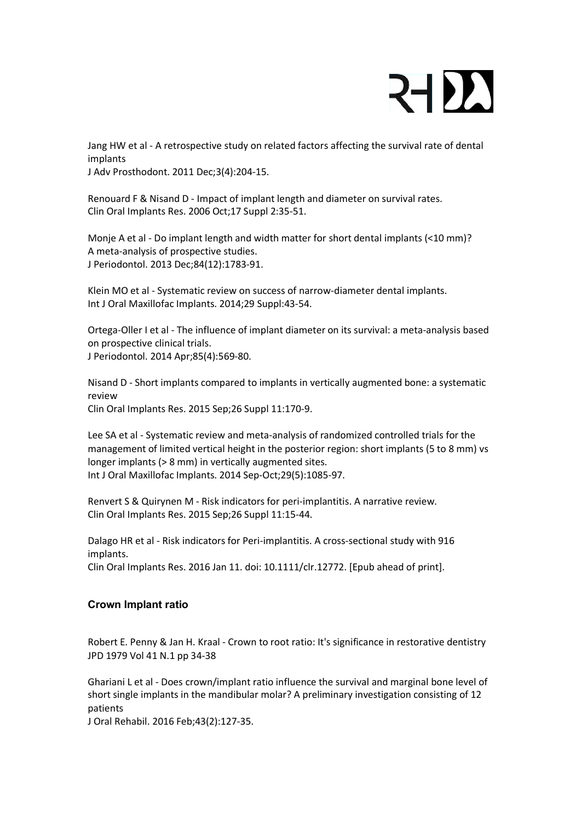

Jang HW et al - A retrospective study on related factors affecting the survival rate of dental implants

J Adv Prosthodont. 2011 Dec;3(4):204-15.

Renouard F & Nisand D - Impact of implant length and diameter on survival rates. Clin Oral Implants Res. 2006 Oct;17 Suppl 2:35-51.

Monje A et al - Do implant length and width matter for short dental implants (<10 mm)? A meta-analysis of prospective studies. J Periodontol. 2013 Dec;84(12):1783-91.

Klein MO et al - Systematic review on success of narrow-diameter dental implants. Int J Oral Maxillofac Implants. 2014;29 Suppl:43-54.

Ortega-Oller I et al - The influence of implant diameter on its survival: a meta-analysis based on prospective clinical trials. J Periodontol. 2014 Apr;85(4):569-80.

Nisand D - Short implants compared to implants in vertically augmented bone: a systematic review Clin Oral Implants Res. 2015 Sep;26 Suppl 11:170-9.

Lee SA et al - Systematic review and meta-analysis of randomized controlled trials for the management of limited vertical height in the posterior region: short implants (5 to 8 mm) vs longer implants (> 8 mm) in vertically augmented sites. Int J Oral Maxillofac Implants. 2014 Sep-Oct;29(5):1085-97.

Renvert S & Quirynen M - Risk indicators for peri-implantitis. A narrative review. Clin Oral Implants Res. 2015 Sep;26 Suppl 11:15-44.

Dalago HR et al - Risk indicators for Peri-implantitis. A cross-sectional study with 916 implants. Clin Oral Implants Res. 2016 Jan 11. doi: 10.1111/clr.12772. [Epub ahead of print].

#### **Crown Implant ratio**

Robert E. Penny & Jan H. Kraal - Crown to root ratio: It's significance in restorative dentistry JPD 1979 Vol 41 N.1 pp 34-38

Ghariani L et al - Does crown/implant ratio influence the survival and marginal bone level of short single implants in the mandibular molar? A preliminary investigation consisting of 12 patients

J Oral Rehabil. 2016 Feb;43(2):127-35.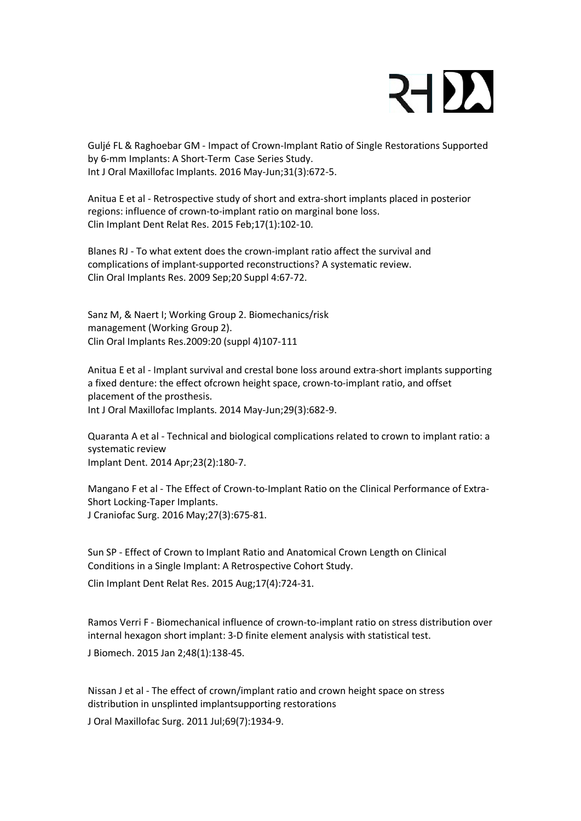## 21DA

Guljé FL & Raghoebar GM - Impact of Crown-Implant Ratio of Single Restorations Supported by 6-mm Implants: A Short-Term Case Series Study. Int J Oral Maxillofac Implants. 2016 May-Jun;31(3):672-5.

Anitua E et al - Retrospective study of short and extra-short implants placed in posterior regions: influence of crown-to-implant ratio on marginal bone loss. Clin Implant Dent Relat Res. 2015 Feb;17(1):102-10.

Blanes RJ - To what extent does the crown-implant ratio affect the survival and complications of implant-supported reconstructions? A systematic review. Clin Oral Implants Res. 2009 Sep;20 Suppl 4:67-72.

Sanz M, & Naert I; Working Group 2. Biomechanics/risk management (Working Group 2). Clin Oral Implants Res.2009:20 (suppl 4)107-111

Anitua E et al - Implant survival and crestal bone loss around extra-short implants supporting a fixed denture: the effect ofcrown height space, crown-to-implant ratio, and offset placement of the prosthesis. Int J Oral Maxillofac Implants. 2014 May-Jun;29(3):682-9.

Quaranta A et al - Technical and biological complications related to crown to implant ratio: a systematic review Implant Dent. 2014 Apr;23(2):180-7.

Mangano F et al - The Effect of Crown-to-Implant Ratio on the Clinical Performance of Extra-Short Locking-Taper Implants. J Craniofac Surg. 2016 May;27(3):675-81.

Sun SP - Effect of Crown to Implant Ratio and Anatomical Crown Length on Clinical Conditions in a Single Implant: A Retrospective Cohort Study.

Clin Implant Dent Relat Res. 2015 Aug;17(4):724-31.

Ramos Verri F - Biomechanical influence of crown-to-implant ratio on stress distribution over internal hexagon short implant: 3-D finite element analysis with statistical test. J Biomech. 2015 Jan 2;48(1):138-45.

Nissan J et al - The effect of crown/implant ratio and crown height space on stress distribution in unsplinted implantsupporting restorations

J Oral Maxillofac Surg. 2011 Jul;69(7):1934-9.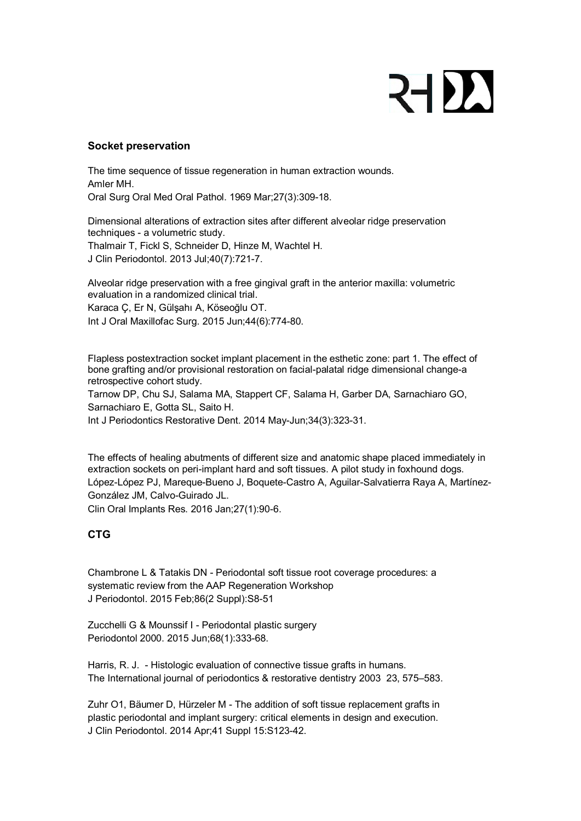## 21)

#### **Socket preservation**

The time sequence of tissue regeneration in human extraction wounds. Amler MH. Oral Surg Oral Med Oral Pathol. 1969 Mar;27(3):309-18.

Dimensional alterations of extraction sites after different alveolar ridge preservation techniques - a volumetric study.

Thalmair T, Fickl S, Schneider D, Hinze M, Wachtel H. J Clin Periodontol. 2013 Jul;40(7):721-7.

Alveolar ridge preservation with a free gingival graft in the anterior maxilla: volumetric evaluation in a randomized clinical trial.

Karaca Ç, Er N, Gülşahı A, Köseoğlu OT.

Int J Oral Maxillofac Surg. 2015 Jun;44(6):774-80.

Flapless postextraction socket implant placement in the esthetic zone: part 1. The effect of bone grafting and/or provisional restoration on facial-palatal ridge dimensional change-a retrospective cohort study.

Tarnow DP, Chu SJ, Salama MA, Stappert CF, Salama H, Garber DA, Sarnachiaro GO, Sarnachiaro E, Gotta SL, Saito H.

Int J Periodontics Restorative Dent. 2014 May-Jun;34(3):323-31.

The effects of healing abutments of different size and anatomic shape placed immediately in extraction sockets on peri-implant hard and soft tissues. A pilot study in foxhound dogs. López-López PJ, Mareque-Bueno J, Boquete-Castro A, Aguilar-Salvatierra Raya A, Martínez-González JM, Calvo-Guirado JL.

Clin Oral Implants Res. 2016 Jan;27(1):90-6.

### **CTG**

Chambrone L & Tatakis DN - Periodontal soft tissue root coverage procedures: a systematic review from the AAP Regeneration Workshop J Periodontol. 2015 Feb;86(2 Suppl):S8-51

Zucchelli G & Mounssif I - Periodontal plastic surgery Periodontol 2000. 2015 Jun;68(1):333-68.

Harris, R. J. - Histologic evaluation of connective tissue grafts in humans. The International journal of periodontics & restorative dentistry 2003 23, 575–583.

Zuhr O1, Bäumer D, Hürzeler M - The addition of soft tissue replacement grafts in plastic periodontal and implant surgery: critical elements in design and execution. J Clin Periodontol. 2014 Apr;41 Suppl 15:S123-42.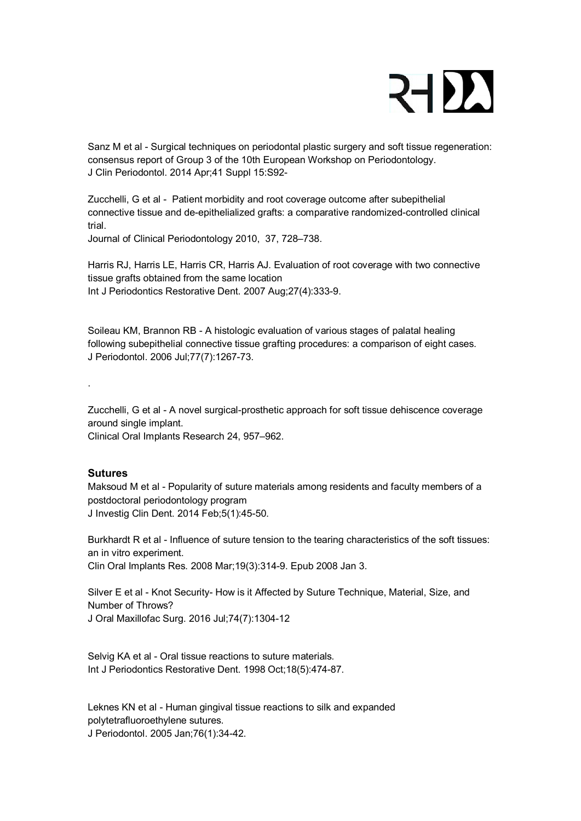

Sanz M et al - Surgical techniques on periodontal plastic surgery and soft tissue regeneration: consensus report of Group 3 of the 10th European Workshop on Periodontology. J Clin Periodontol. 2014 Apr;41 Suppl 15:S92-

Zucchelli, G et al - Patient morbidity and root coverage outcome after subepithelial connective tissue and de-epithelialized grafts: a comparative randomized-controlled clinical trial.

Journal of Clinical Periodontology 2010, 37, 728–738.

Harris RJ, Harris LE, Harris CR, Harris AJ. Evaluation of root coverage with two connective tissue grafts obtained from the same location Int J Periodontics Restorative Dent. 2007 Aug;27(4):333-9.

Soileau KM, Brannon RB - A histologic evaluation of various stages of palatal healing following subepithelial connective tissue grafting procedures: a comparison of eight cases. J Periodontol. 2006 Jul;77(7):1267-73.

Zucchelli, G et al - A novel surgical-prosthetic approach for soft tissue dehiscence coverage around single implant.

Clinical Oral Implants Research 24, 957–962.

#### **Sutures**

.

Maksoud M et al - Popularity of suture materials among residents and faculty members of a postdoctoral periodontology program J Investig Clin Dent. 2014 Feb;5(1):45-50.

Burkhardt R et al - Influence of suture tension to the tearing characteristics of the soft tissues: an in vitro experiment. Clin Oral Implants Res. 2008 Mar;19(3):314-9. Epub 2008 Jan 3.

Silver E et al - Knot Security- How is it Affected by Suture Technique, Material, Size, and Number of Throws? J Oral Maxillofac Surg. 2016 Jul;74(7):1304-12

Selvig KA et al - Oral tissue reactions to suture materials. Int J Periodontics Restorative Dent. 1998 Oct;18(5):474-87.

Leknes KN et al - Human gingival tissue reactions to silk and expanded polytetrafluoroethylene sutures.

J Periodontol. 2005 Jan;76(1):34-42.